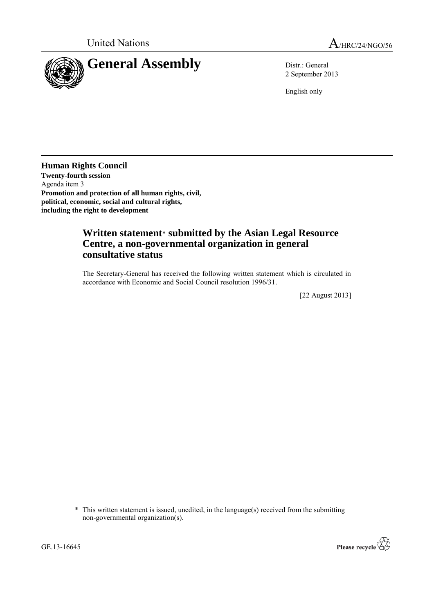

2 September 2013

English only

**Human Rights Council Twenty-fourth session** Agenda item 3 **Promotion and protection of all human rights, civil, political, economic, social and cultural rights, including the right to development**

## **Written statement**\* **submitted by the Asian Legal Resource Centre, a non-governmental organization in general consultative status**

The Secretary-General has received the following written statement which is circulated in accordance with Economic and Social Council resolution 1996/31.

[22 August 2013]



<sup>\*</sup> This written statement is issued, unedited, in the language(s) received from the submitting non-governmental organization(s).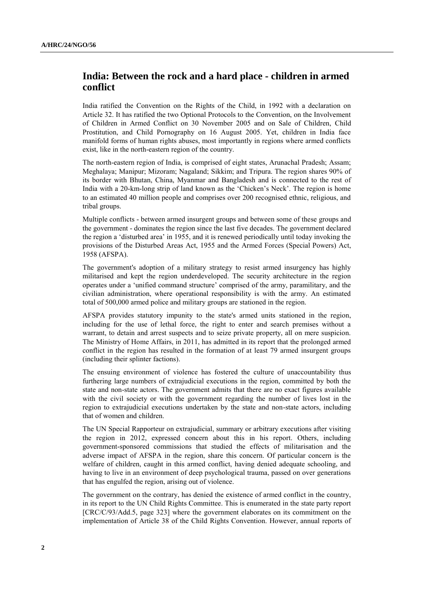## **India: Between the rock and a hard place - children in armed conflict**

India ratified the Convention on the Rights of the Child, in 1992 with a declaration on Article 32. It has ratified the two Optional Protocols to the Convention, on the Involvement of Children in Armed Conflict on 30 November 2005 and on Sale of Children, Child Prostitution, and Child Pornography on 16 August 2005. Yet, children in India face manifold forms of human rights abuses, most importantly in regions where armed conflicts exist, like in the north-eastern region of the country.

The north-eastern region of India, is comprised of eight states, Arunachal Pradesh; Assam; Meghalaya; Manipur; Mizoram; Nagaland; Sikkim; and Tripura. The region shares 90% of its border with Bhutan, China, Myanmar and Bangladesh and is connected to the rest of India with a 20-km-long strip of land known as the 'Chicken's Neck'. The region is home to an estimated 40 million people and comprises over 200 recognised ethnic, religious, and tribal groups.

Multiple conflicts - between armed insurgent groups and between some of these groups and the government - dominates the region since the last five decades. The government declared the region a 'disturbed area' in 1955, and it is renewed periodically until today invoking the provisions of the Disturbed Areas Act, 1955 and the Armed Forces (Special Powers) Act, 1958 (AFSPA).

The government's adoption of a military strategy to resist armed insurgency has highly militarised and kept the region underdeveloped. The security architecture in the region operates under a 'unified command structure' comprised of the army, paramilitary, and the civilian administration, where operational responsibility is with the army. An estimated total of 500,000 armed police and military groups are stationed in the region.

AFSPA provides statutory impunity to the state's armed units stationed in the region, including for the use of lethal force, the right to enter and search premises without a warrant, to detain and arrest suspects and to seize private property, all on mere suspicion. The Ministry of Home Affairs, in 2011, has admitted in its report that the prolonged armed conflict in the region has resulted in the formation of at least 79 armed insurgent groups (including their splinter factions).

The ensuing environment of violence has fostered the culture of unaccountability thus furthering large numbers of extrajudicial executions in the region, committed by both the state and non-state actors. The government admits that there are no exact figures available with the civil society or with the government regarding the number of lives lost in the region to extrajudicial executions undertaken by the state and non-state actors, including that of women and children.

The UN Special Rapporteur on extrajudicial, summary or arbitrary executions after visiting the region in 2012, expressed concern about this in his report. Others, including government-sponsored commissions that studied the effects of militarisation and the adverse impact of AFSPA in the region, share this concern. Of particular concern is the welfare of children, caught in this armed conflict, having denied adequate schooling, and having to live in an environment of deep psychological trauma, passed on over generations that has engulfed the region, arising out of violence.

The government on the contrary, has denied the existence of armed conflict in the country, in its report to the UN Child Rights Committee. This is enumerated in the state party report [CRC/C/93/Add.5, page 323] where the government elaborates on its commitment on the implementation of Article 38 of the Child Rights Convention. However, annual reports of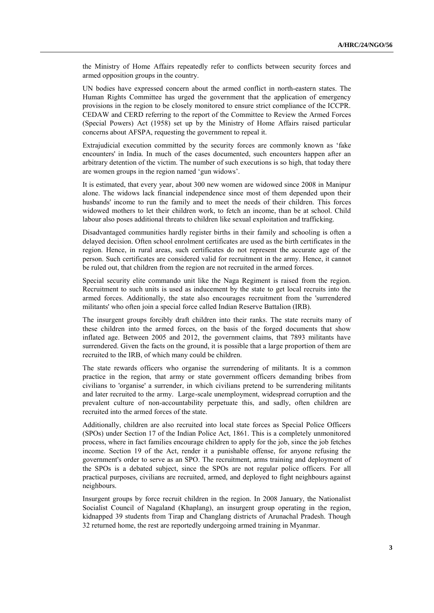the Ministry of Home Affairs repeatedly refer to conflicts between security forces and armed opposition groups in the country.

UN bodies have expressed concern about the armed conflict in north-eastern states. The Human Rights Committee has urged the government that the application of emergency provisions in the region to be closely monitored to ensure strict compliance of the ICCPR. CEDAW and CERD referring to the report of the Committee to Review the Armed Forces (Special Powers) Act (1958) set up by the Ministry of Home Affairs raised particular concerns about AFSPA, requesting the government to repeal it.

Extrajudicial execution committed by the security forces are commonly known as 'fake encounters' in India. In much of the cases documented, such encounters happen after an arbitrary detention of the victim. The number of such executions is so high, that today there are women groups in the region named 'gun widows'.

It is estimated, that every year, about 300 new women are widowed since 2008 in Manipur alone. The widows lack financial independence since most of them depended upon their husbands' income to run the family and to meet the needs of their children. This forces widowed mothers to let their children work, to fetch an income, than be at school. Child labour also poses additional threats to children like sexual exploitation and trafficking.

Disadvantaged communities hardly register births in their family and schooling is often a delayed decision. Often school enrolment certificates are used as the birth certificates in the region. Hence, in rural areas, such certificates do not represent the accurate age of the person. Such certificates are considered valid for recruitment in the army. Hence, it cannot be ruled out, that children from the region are not recruited in the armed forces.

Special security elite commando unit like the Naga Regiment is raised from the region. Recruitment to such units is used as inducement by the state to get local recruits into the armed forces. Additionally, the state also encourages recruitment from the 'surrendered militants' who often join a special force called Indian Reserve Battalion (IRB).

The insurgent groups forcibly draft children into their ranks. The state recruits many of these children into the armed forces, on the basis of the forged documents that show inflated age. Between 2005 and 2012, the government claims, that 7893 militants have surrendered. Given the facts on the ground, it is possible that a large proportion of them are recruited to the IRB, of which many could be children.

The state rewards officers who organise the surrendering of militants. It is a common practice in the region, that army or state government officers demanding bribes from civilians to 'organise' a surrender, in which civilians pretend to be surrendering militants and later recruited to the army. Large-scale unemployment, widespread corruption and the prevalent culture of non-accountability perpetuate this, and sadly, often children are recruited into the armed forces of the state.

Additionally, children are also recruited into local state forces as Special Police Officers (SPOs) under Section 17 of the Indian Police Act, 1861. This is a completely unmonitored process, where in fact families encourage children to apply for the job, since the job fetches income. Section 19 of the Act, render it a punishable offense, for anyone refusing the government's order to serve as an SPO. The recruitment, arms training and deployment of the SPOs is a debated subject, since the SPOs are not regular police officers. For all practical purposes, civilians are recruited, armed, and deployed to fight neighbours against neighbours.

Insurgent groups by force recruit children in the region. In 2008 January, the Nationalist Socialist Council of Nagaland (Khaplang), an insurgent group operating in the region, kidnapped 39 students from Tirap and Changlang districts of Arunachal Pradesh. Though 32 returned home, the rest are reportedly undergoing armed training in Myanmar.